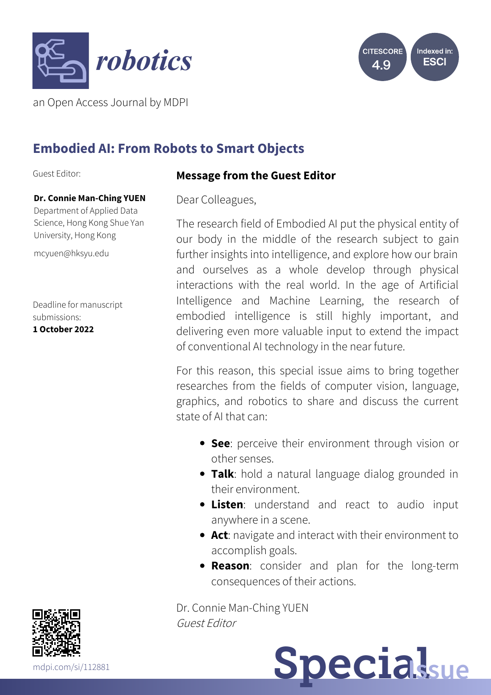



an Open Access Journal by MDPI

# **Embodied AI: From Robots to Smart Objects**

Guest Editor:

#### **Dr. Connie Man-Ching YUEN**

Department of Applied Data Science, Hong Kong Shue Yan University, Hong Kong

[mcyuen@hksyu.edu](mailto:mcyuen@hksyu.edu)

Deadline for manuscript submissions: **1 October 2022**

# **Message from the Guest Editor**

Dear Colleagues,

The research field of Embodied AI put the physical entity of our body in the middle of the research subject to gain further insights into intelligence, and explore how our brain and ourselves as a whole develop through physical interactions with the real world. In the age of Artificial Intelligence and Machine Learning, the research of embodied intelligence is still highly important, and delivering even more valuable input to extend the impact of conventional AI technology in the near future.

For this reason, this special issue aims to bring together researches from the fields of computer vision, language, graphics, and robotics to share and discuss the current state of AI that can:

- **See**: perceive their environment through vision or other senses.
- **Talk**: hold a natural language dialog grounded in their environment.
- **Listen**: understand and react to audio input anywhere in a scene.
- **Act**: navigate and interact with their environment to accomplish goals.
- **Reason**: consider and plan for the long-term consequences of their actions.

Dr. Connie Man-Ching YUEN Guest Editor